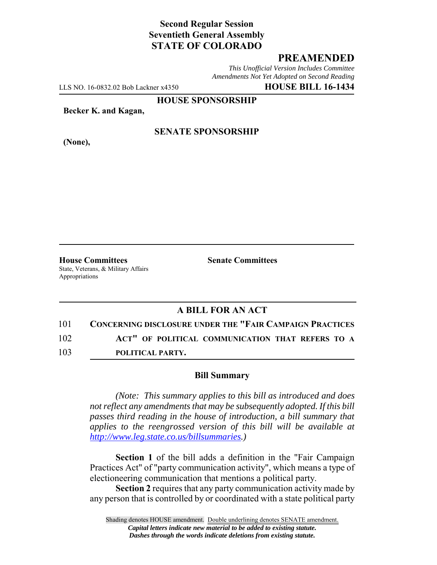# **Second Regular Session Seventieth General Assembly STATE OF COLORADO**

### **PREAMENDED**

*This Unofficial Version Includes Committee Amendments Not Yet Adopted on Second Reading*

LLS NO. 16-0832.02 Bob Lackner x4350 **HOUSE BILL 16-1434**

**HOUSE SPONSORSHIP**

**Becker K. and Kagan,**

**(None),**

### **SENATE SPONSORSHIP**

**House Committees Senate Committees** State, Veterans, & Military Affairs Appropriations

# **A BILL FOR AN ACT**

101 **CONCERNING DISCLOSURE UNDER THE "FAIR CAMPAIGN PRACTICES**

102 **ACT" OF POLITICAL COMMUNICATION THAT REFERS TO A**

103 **POLITICAL PARTY.**

### **Bill Summary**

*(Note: This summary applies to this bill as introduced and does not reflect any amendments that may be subsequently adopted. If this bill passes third reading in the house of introduction, a bill summary that applies to the reengrossed version of this bill will be available at http://www.leg.state.co.us/billsummaries.)*

**Section 1** of the bill adds a definition in the "Fair Campaign Practices Act" of "party communication activity", which means a type of electioneering communication that mentions a political party.

**Section 2** requires that any party communication activity made by any person that is controlled by or coordinated with a state political party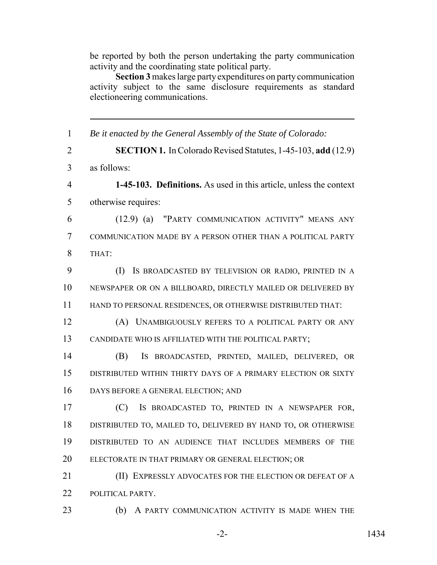be reported by both the person undertaking the party communication activity and the coordinating state political party.

**Section 3** makes large party expenditures on party communication activity subject to the same disclosure requirements as standard electioneering communications.

 *Be it enacted by the General Assembly of the State of Colorado:* **SECTION 1.** In Colorado Revised Statutes, 1-45-103, **add** (12.9) as follows: **1-45-103. Definitions.** As used in this article, unless the context otherwise requires: (12.9) (a) "PARTY COMMUNICATION ACTIVITY" MEANS ANY COMMUNICATION MADE BY A PERSON OTHER THAN A POLITICAL PARTY THAT: (I) IS BROADCASTED BY TELEVISION OR RADIO, PRINTED IN A NEWSPAPER OR ON A BILLBOARD, DIRECTLY MAILED OR DELIVERED BY HAND TO PERSONAL RESIDENCES, OR OTHERWISE DISTRIBUTED THAT: (A) UNAMBIGUOUSLY REFERS TO A POLITICAL PARTY OR ANY CANDIDATE WHO IS AFFILIATED WITH THE POLITICAL PARTY; (B) IS BROADCASTED, PRINTED, MAILED, DELIVERED, OR DISTRIBUTED WITHIN THIRTY DAYS OF A PRIMARY ELECTION OR SIXTY DAYS BEFORE A GENERAL ELECTION; AND (C) IS BROADCASTED TO, PRINTED IN A NEWSPAPER FOR, DISTRIBUTED TO, MAILED TO, DELIVERED BY HAND TO, OR OTHERWISE DISTRIBUTED TO AN AUDIENCE THAT INCLUDES MEMBERS OF THE ELECTORATE IN THAT PRIMARY OR GENERAL ELECTION; OR **(II) EXPRESSLY ADVOCATES FOR THE ELECTION OR DEFEAT OF A**  POLITICAL PARTY. (b) A PARTY COMMUNICATION ACTIVITY IS MADE WHEN THE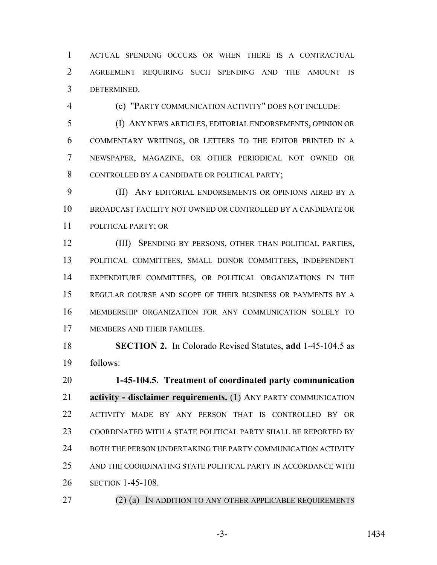ACTUAL SPENDING OCCURS OR WHEN THERE IS A CONTRACTUAL AGREEMENT REQUIRING SUCH SPENDING AND THE AMOUNT IS DETERMINED.

(c) "PARTY COMMUNICATION ACTIVITY" DOES NOT INCLUDE:

 (I) ANY NEWS ARTICLES, EDITORIAL ENDORSEMENTS, OPINION OR COMMENTARY WRITINGS, OR LETTERS TO THE EDITOR PRINTED IN A NEWSPAPER, MAGAZINE, OR OTHER PERIODICAL NOT OWNED OR CONTROLLED BY A CANDIDATE OR POLITICAL PARTY;

 (II) ANY EDITORIAL ENDORSEMENTS OR OPINIONS AIRED BY A BROADCAST FACILITY NOT OWNED OR CONTROLLED BY A CANDIDATE OR POLITICAL PARTY; OR

 (III) SPENDING BY PERSONS, OTHER THAN POLITICAL PARTIES, POLITICAL COMMITTEES, SMALL DONOR COMMITTEES, INDEPENDENT EXPENDITURE COMMITTEES, OR POLITICAL ORGANIZATIONS IN THE REGULAR COURSE AND SCOPE OF THEIR BUSINESS OR PAYMENTS BY A MEMBERSHIP ORGANIZATION FOR ANY COMMUNICATION SOLELY TO MEMBERS AND THEIR FAMILIES.

 **SECTION 2.** In Colorado Revised Statutes, **add** 1-45-104.5 as follows:

 **1-45-104.5. Treatment of coordinated party communication activity - disclaimer requirements.** (1) ANY PARTY COMMUNICATION ACTIVITY MADE BY ANY PERSON THAT IS CONTROLLED BY OR COORDINATED WITH A STATE POLITICAL PARTY SHALL BE REPORTED BY 24 BOTH THE PERSON UNDERTAKING THE PARTY COMMUNICATION ACTIVITY AND THE COORDINATING STATE POLITICAL PARTY IN ACCORDANCE WITH SECTION 1-45-108.

27 (2) (a) IN ADDITION TO ANY OTHER APPLICABLE REQUIREMENTS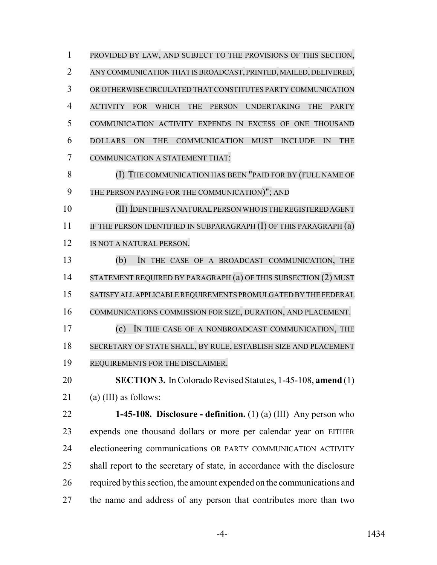PROVIDED BY LAW, AND SUBJECT TO THE PROVISIONS OF THIS SECTION, ANY COMMUNICATION THAT IS BROADCAST, PRINTED, MAILED, DELIVERED, OR OTHERWISE CIRCULATED THAT CONSTITUTES PARTY COMMUNICATION ACTIVITY FOR WHICH THE PERSON UNDERTAKING THE PARTY COMMUNICATION ACTIVITY EXPENDS IN EXCESS OF ONE THOUSAND DOLLARS ON THE COMMUNICATION MUST INCLUDE IN THE COMMUNICATION A STATEMENT THAT: (I) THE COMMUNICATION HAS BEEN "PAID FOR BY (FULL NAME OF THE PERSON PAYING FOR THE COMMUNICATION)"; AND (II) IDENTIFIES A NATURAL PERSON WHO IS THE REGISTERED AGENT 11 IF THE PERSON IDENTIFIED IN SUBPARAGRAPH (I) OF THIS PARAGRAPH (a) IS NOT A NATURAL PERSON. (b) IN THE CASE OF A BROADCAST COMMUNICATION, THE 14 STATEMENT REQUIRED BY PARAGRAPH (a) OF THIS SUBSECTION (2) MUST SATISFY ALL APPLICABLE REQUIREMENTS PROMULGATED BY THE FEDERAL COMMUNICATIONS COMMISSION FOR SIZE, DURATION, AND PLACEMENT. (c) IN THE CASE OF A NONBROADCAST COMMUNICATION, THE SECRETARY OF STATE SHALL, BY RULE, ESTABLISH SIZE AND PLACEMENT REQUIREMENTS FOR THE DISCLAIMER. **SECTION 3.** In Colorado Revised Statutes, 1-45-108, **amend** (1) (a) (III) as follows: **1-45-108. Disclosure - definition.** (1) (a) (III) Any person who expends one thousand dollars or more per calendar year on EITHER electioneering communications OR PARTY COMMUNICATION ACTIVITY shall report to the secretary of state, in accordance with the disclosure required by this section, the amount expended on the communications and

the name and address of any person that contributes more than two